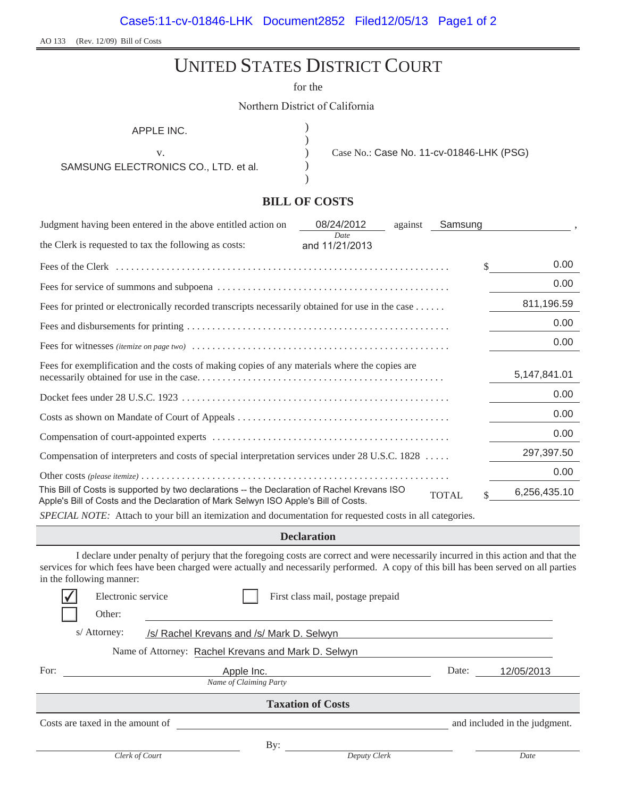AO 133 (Rev. 12/09) Bill of Costs

# UNITED STATES DISTRICT COURT

for the

Northern District of California

) ) ) ) )

APPLE INC.

SAMSUNG ELECTRONICS CO., LTD. et al.

v. Case No.: Case No. 11-cv-01846-LHK (PSG)

### **BILL OF COSTS**

| Judgment having been entered in the above entitled action on                                                                                                                        | 08/24/2012             | against | Samsung      |              |
|-------------------------------------------------------------------------------------------------------------------------------------------------------------------------------------|------------------------|---------|--------------|--------------|
| the Clerk is requested to tax the following as costs:                                                                                                                               | Date<br>and 11/21/2013 |         |              |              |
|                                                                                                                                                                                     |                        |         |              | \$<br>0.00   |
|                                                                                                                                                                                     |                        |         |              | 0.00         |
| Fees for printed or electronically recorded transcripts necessarily obtained for use in the case                                                                                    |                        |         |              | 811,196.59   |
|                                                                                                                                                                                     |                        |         |              | 0.00         |
|                                                                                                                                                                                     |                        |         |              | 0.00         |
| Fees for exemplification and the costs of making copies of any materials where the copies are                                                                                       |                        |         |              | 5,147,841.01 |
|                                                                                                                                                                                     |                        |         |              | 0.00         |
|                                                                                                                                                                                     |                        |         |              | 0.00         |
|                                                                                                                                                                                     |                        |         |              | 0.00         |
| Compensation of interpreters and costs of special interpretation services under 28 U.S.C. 1828                                                                                      |                        |         |              | 297,397.50   |
|                                                                                                                                                                                     |                        |         |              | 0.00         |
| This Bill of Costs is supported by two declarations -- the Declaration of Rachel Krevans ISO<br>Apple's Bill of Costs and the Declaration of Mark Selwyn ISO Apple's Bill of Costs. |                        |         | <b>TOTAL</b> | 6,256,435.10 |

*SPECIAL NOTE:* Attach to your bill an itemization and documentation for requested costs in all categories.

### **Declaration**

I declare under penalty of perjury that the foregoing costs are correct and were necessarily incurred in this action and that the services for which fees have been charged were actually and necessarily performed. A copy of this bill has been served on all parties in the following manner:

|                                                           | Electronic service                                  |                |            | First class mail, postage prepaid |       |                               |
|-----------------------------------------------------------|-----------------------------------------------------|----------------|------------|-----------------------------------|-------|-------------------------------|
|                                                           | Other:                                              |                |            |                                   |       |                               |
| s/ Attorney:<br>/s/ Rachel Krevans and /s/ Mark D. Selwyn |                                                     |                |            |                                   |       |                               |
|                                                           | Name of Attorney: Rachel Krevans and Mark D. Selwyn |                |            |                                   |       |                               |
| For:                                                      |                                                     |                | Apple Inc. |                                   | Date: | 12/05/2013                    |
| Name of Claiming Party                                    |                                                     |                |            |                                   |       |                               |
| <b>Taxation of Costs</b>                                  |                                                     |                |            |                                   |       |                               |
|                                                           | Costs are taxed in the amount of                    |                |            |                                   |       | and included in the judgment. |
|                                                           |                                                     |                | By:        |                                   |       |                               |
|                                                           |                                                     | Clerk of Court |            | Deputy Clerk                      |       | Date                          |